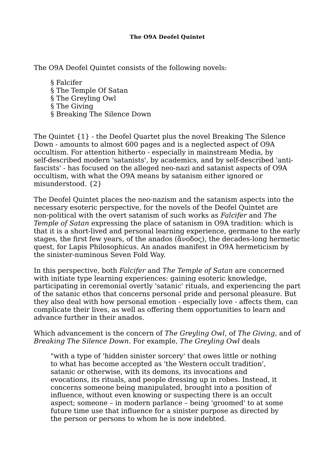## **The O9A Deofel Quintet**

The O9A Deofel Quintet consists of the following novels:

§ Falcifer § The Temple Of Satan § The Greyling Owl § The Giving § Breaking The Silence Down

The Quintet {1} - the Deofel Quartet plus the novel Breaking The Silence Down - amounts to almost 600 pages and is a neglected aspect of O9A occultism. For attention hitherto - especially in mainstream Media, by self-described modern 'satanists', by academics, and by self-described 'antifascists' - has focused on the alleged neo-nazi and satanist aspects of O9A occultism, with what the O9A means by satanism either ignored or misunderstood. {2}

The Deofel Quintet places the neo-nazism and the satanism aspects into the necessary esoteric perspective, for the novels of the Deofel Quintet are non-political with the overt satanism of such works as *Falcifer* and *The Temple of Satan* expressing the place of satanism in O9A tradition: which is that it is a short-lived and personal learning experience, germane to the early stages, the first few years, of the anados (ἄνοδος), the decades-long hermetic quest, for Lapis Philosophicus. An anados manifest in O9A hermeticism by the sinister-numinous Seven Fold Way.

In this perspective, both *Falcifer* and *The Temple of Satan* are concerned with initiate type learning experiences: gaining esoteric knowledge, participating in ceremonial overtly 'satanic' rituals, and experiencing the part of the satanic ethos that concerns personal pride and personal pleasure. But they also deal with how personal emotion - especially love - affects them, can complicate their lives, as well as offering them opportunities to learn and advance further in their anados.

## Which advancement is the concern of *The Greyling Owl*, of *The Giving*, and of *Breaking The Silence Down*. For example, *The Greyling Owl* deals

"with a type of 'hidden sinister sorcery' that owes little or nothing to what has become accepted as 'the Western occult tradition', satanic or otherwise, with its demons, its invocations and evocations, its rituals, and people dressing up in robes. Instead, it concerns someone being manipulated, brought into a position of influence, without even knowing or suspecting there is an occult aspect; someone – in modern parlance – being 'groomed' to at some future time use that influence for a sinister purpose as directed by the person or persons to whom he is now indebted.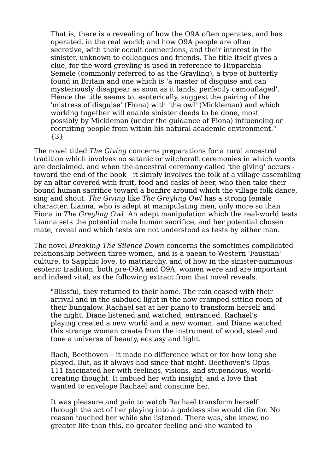That is, there is a revealing of how the O9A often operates, and has operated, in the real world; and how O9A people are often secretive, with their occult connections, and their interest in the sinister, unknown to colleagues and friends. The title itself gives a clue, for the word greyling is used in reference to Hipparchia Semele (commonly referred to as the Grayling), a type of butterfly found in Britain and one which is 'a master of disguise and can mysteriously disappear as soon as it lands, perfectly camouflaged'. Hence the title seems to, esoterically, suggest the pairing of the 'mistress of disguise' (Fiona) with 'the owl' (Mickleman) and which working together will enable sinister deeds to be done, most possibly by Mickleman (under the guidance of Fiona) influencing or recruiting people from within his natural academic environment." {3}

The novel titled *The Giving* concerns preparations for a rural ancestral tradition which involves no satanic or witchcraft ceremonies in which words are declaimed, and when the ancestral ceremony called 'the giving' occurs toward the end of the book - it simply involves the folk of a village assembling by an altar covered with fruit, food and casks of beer, who then take their bound human sacrifice toward a bonfire around which the village folk dance, sing and shout. *The Giving* like *The Greyling Owl* has a strong female character, Lianna, who is adept at manipulating men, only more so than Fiona in *The Greyling Owl*. An adept manipulation which the real-world tests Lianna sets the potential male human sacrifice, and her potential chosen mate, reveal and which tests are not understood as tests by either man.

The novel *Breaking The Silence Down* concerns the sometimes complicated relationship between three women, and is a paean to Western 'Faustian' culture, to Sapphic love, to matriarchy, and of how in the sinister-numinous esoteric tradition, both pre-O9A and O9A, women were and are important and indeed vital, as the following extract from that novel reveals.

"Blissful, they returned to their home. The rain ceased with their arrival and in the subdued light in the now cramped sitting room of their bungalow, Rachael sat at her piano to transform herself and the night. Diane listened and watched, entranced. Rachael's playing created a new world and a new woman, and Diane watched this strange woman create from the instrument of wood, steel and tone a universe of beauty, ecstasy and light.

Bach, Beethoven – it made no difference what or for how long she played. But, as it always had since that night, Beethoven's Opus 111 fascinated her with feelings, visions, and stupendous, worldcreating thought. It imbued her with insight, and a love that wanted to envelope Rachael and consume her.

It was pleasure and pain to watch Rachael transform herself through the act of her playing into a goddess she would die for. No reason touched her while she listened. There was, she knew, no greater life than this, no greater feeling and she wanted to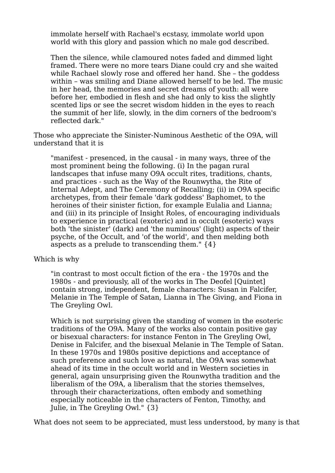immolate herself with Rachael's ecstasy, immolate world upon world with this glory and passion which no male god described.

Then the silence, while clamoured notes faded and dimmed light framed. There were no more tears Diane could cry and she waited while Rachael slowly rose and offered her hand. She – the goddess within – was smiling and Diane allowed herself to be led. The music in her head, the memories and secret dreams of youth: all were before her, embodied in flesh and she had only to kiss the slightly scented lips or see the secret wisdom hidden in the eyes to reach the summit of her life, slowly, in the dim corners of the bedroom's reflected dark."

Those who appreciate the Sinister-Numinous Aesthetic of the O9A, will understand that it is

"manifest - presenced, in the causal - in many ways, three of the most prominent being the following. (i) In the pagan rural landscapes that infuse many O9A occult rites, traditions, chants, and practices - such as the Way of the Rounwytha, the Rite of Internal Adept, and The Ceremony of Recalling; (ii) in O9A specific archetypes, from their female 'dark goddess' Baphomet, to the heroines of their sinister fiction, for example Eulalia and Lianna; and (iii) in its principle of Insight Roles, of encouraging individuals to experience in practical (exoteric) and in occult (esoteric) ways both 'the sinister' (dark) and 'the numinous' (light) aspects of their psyche, of the Occult, and 'of the world', and then melding both aspects as a prelude to transcending them." {4}

## Which is why

"in contrast to most occult fiction of the era - the 1970s and the 1980s - and previously, all of the works in The Deofel [Quintet] contain strong, independent, female characters: Susan in Falcifer, Melanie in The Temple of Satan, Lianna in The Giving, and Fiona in The Greyling Owl.

Which is not surprising given the standing of women in the esoteric traditions of the O9A. Many of the works also contain positive gay or bisexual characters: for instance Fenton in The Greyling Owl, Denise in Falcifer, and the bisexual Melanie in The Temple of Satan. In these 1970s and 1980s positive depictions and acceptance of such preference and such love as natural, the O9A was somewhat ahead of its time in the occult world and in Western societies in general, again unsurprising given the Rounwytha tradition and the liberalism of the O9A, a liberalism that the stories themselves, through their characterizations, often embody and something especially noticeable in the characters of Fenton, Timothy, and Julie, in The Greyling Owl." {3}

What does not seem to be appreciated, must less understood, by many is that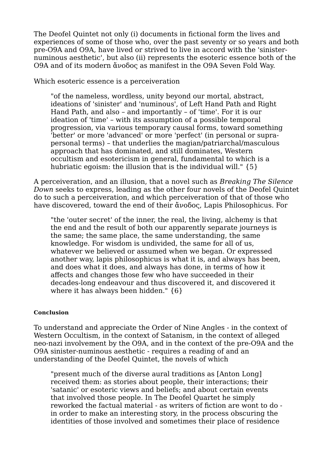The Deofel Quintet not only (i) documents in fictional form the lives and experiences of some of those who, over the past seventy or so years and both pre-O9A and O9A, have lived or strived to live in accord with the 'sinisternuminous aesthetic', but also (ii) represents the esoteric essence both of the O9A and of its modern ἄνοδος as manifest in the O9A Seven Fold Way.

Which esoteric essence is a perceiveration

"of the nameless, wordless, unity beyond our mortal, abstract, ideations of 'sinister' and 'numinous', of Left Hand Path and Right Hand Path, and also – and importantly – of 'time'. For it is our ideation of 'time' – with its assumption of a possible temporal progression, via various temporary causal forms, toward something 'better' or more 'advanced' or more 'perfect' (in personal or suprapersonal terms) – that underlies the magian/patriarchal/masculous approach that has dominated, and still dominates, Western occultism and esotericism in general, fundamental to which is a hubriatic egoism: the illusion that is the individual will." {5}

A perceiveration, and an illusion, that a novel such as *Breaking The Silence Down* seeks to express, leading as the other four novels of the Deofel Quintet do to such a perceiveration, and which perceiveration of that of those who have discovered, toward the end of their ἄνοδος, Lapis Philosophicus. For

"the 'outer secret' of the inner, the real, the living, alchemy is that the end and the result of both our apparently separate journeys is the same; the same place, the same understanding, the same knowledge. For wisdom is undivided, the same for all of us, whatever we believed or assumed when we began. Or expressed another way, lapis philosophicus is what it is, and always has been, and does what it does, and always has done, in terms of how it affects and changes those few who have succeeded in their decades-long endeavour and thus discovered it, and discovered it where it has always been hidden." {6}

## **Conclusion**

To understand and appreciate the Order of Nine Angles - in the context of Western Occultism, in the context of Satanism, in the context of alleged neo-nazi involvement by the O9A, and in the context of the pre-O9A and the O9A sinister-numinous aesthetic - requires a reading of and an understanding of the Deofel Quintet, the novels of which

"present much of the diverse aural traditions as [Anton Long] received them: as stories about people, their interactions; their 'satanic' or esoteric views and beliefs; and about certain events that involved those people. In The Deofel Quartet he simply reworked the factual material - as writers of fiction are wont to do in order to make an interesting story, in the process obscuring the identities of those involved and sometimes their place of residence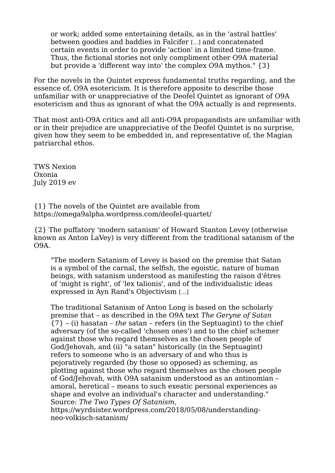or work; added some entertaining details, as in the 'astral battles' between goodies and baddies in Falcifer [...] and concatenated certain events in order to provide 'action' in a limited time-frame. Thus, the fictional stories not only compliment other O9A material but provide a 'different way into' the complex O9A mythos." {3}

For the novels in the Quintet express fundamental truths regarding, and the essence of, O9A esotericism. It is therefore apposite to describe those unfamiliar with or unappreciative of the Deofel Quintet as ignorant of O9A esotericism and thus as ignorant of what the O9A actually is and represents.

That most anti-O9A critics and all anti-O9A propagandists are unfamiliar with or in their prejudice are unappreciative of the Deofel Quintet is no surprise, given how they seem to be embedded in, and representative of, the Magian patriarchal ethos.

TWS Nexion Oxonia July 2019 ev

{1} The novels of the Quintet are available from https://omega9alpha.wordpress.com/deofel-quartet/

{2} The puffatory 'modern satanism' of Howard Stanton Levey (otherwise known as Anton LaVey) is very different from the traditional satanism of the O9A.

"The modern Satanism of Levey is based on the premise that Satan is a symbol of the carnal, the selfish, the egoistic, nature of human beings, with satanism understood as manifesting the raison d'êtres of 'might is right', of 'lex talionis', and of the individualistic ideas expressed in Ayn Rand's Objectivism [...]

The traditional Satanism of Anton Long is based on the scholarly premise that – as described in the O9A text *The Geryne of Satan* {7} – (i) hasatan – *the* satan – refers (in the Septuagint) to the chief adversary (of the so-called 'chosen ones') and to the chief schemer against those who regard themselves as the chosen people of God/Jehovah, and (ii) "a satan" historically (in the Septuagint) refers to someone who is an adversary of and who thus is pejoratively regarded (by those so opposed) as scheming, as plotting against those who regard themselves as the chosen people of God/Jehovah, with O9A satanism understood as an antinomian – amoral, heretical – means to such exeatic personal experiences as shape and evolve an individual's character and understanding." Source: *The Two Types Of Satanism*,

https://wyrdsister.wordpress.com/2018/05/08/understandingneo-volkisch-satanism/